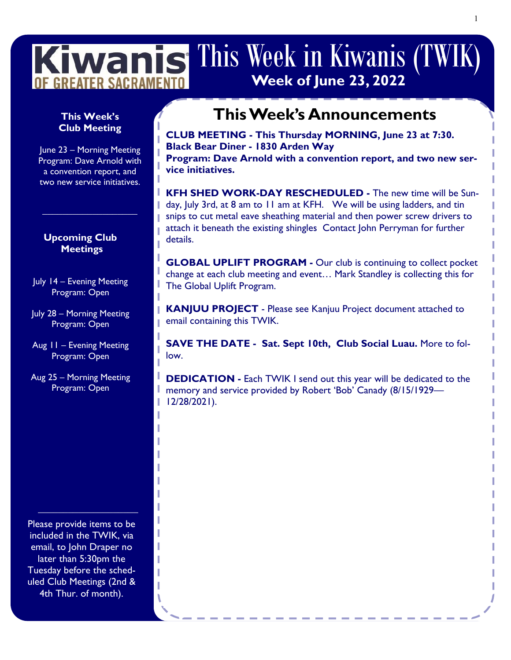# Kiwanis This Week in Kiwanis (TWIK **Week of June 23, 2022** OF GREATER SACRAMEN

# **Club Meeting**

June 23 – Morning Meeting Program: Dave Arnold with a convention report, and two new service initiatives.

**\_\_\_\_\_\_\_\_\_\_\_\_\_\_\_\_\_\_\_**

L

I

### **Upcoming Club Meetings**

July 14 – Evening Meeting Program: Open

July 28 – Morning Meeting Program: Open

Aug 11 – Evening Meeting Program: Open

Aug 25 – Morning Meeting Program: Open

Please provide items to be included in the TWIK, via email, to John Draper no later than 5:30pm the Tuesday before the scheduled Club Meetings (2nd & 4th Thur. of month).

**\_\_\_\_\_\_\_\_\_\_\_\_\_\_\_\_\_\_\_\_**

## **This Week's This Week's Announcements**

**CLUB MEETING - This Thursday MORNING, June 23 at 7:30. Black Bear Diner - 1830 Arden Way Program: Dave Arnold with a convention report, and two new service initiatives.** 

н **KFH SHED WORK-DAY RESCHEDULED -** The new time will be Sunday, July 3rd, at 8 am to 11 am at KFH. We will be using ladders, and tin snips to cut metal eave sheathing material and then power screw drivers to attach it beneath the existing shingles Contact John Perryman for further details.

**GLOBAL UPLIFT PROGRAM -** Our club is continuing to collect pocket change at each club meeting and event… Mark Standley is collecting this for The Global Uplift Program.

**KANJUU PROJECT** - Please see Kanjuu Project document attached to email containing this TWIK.

**SAVE THE DATE - Sat. Sept 10th, Club Social Luau.** More to follow.

**DEDICATION -** Each TWIK I send out this year will be dedicated to the memory and service provided by Robert 'Bob' Canady (8/15/1929— 12/28/2021).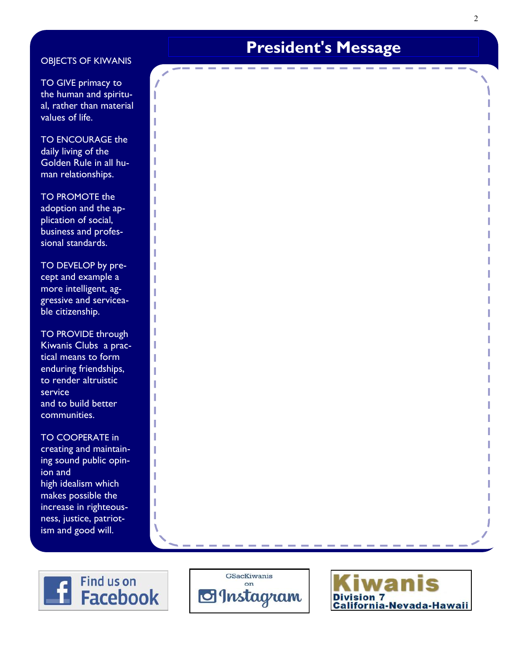### OBJECTS OF KIWANIS

TO GIVE primacy to the human and spiritual, rather than material values of life.

TO ENCOURAGE the daily living of the Golden Rule in all human relationships.

TO PROMOTE the adoption and the application of social, business and professional standards.

TO DEVELOP by precept and example a more intelligent, aggressive and serviceable citizenship.

TO PROVIDE through Kiwanis Clubs a practical means to form enduring friendships, to render altruistic service and to build better communities.

TO COOPERATE in creating and maintaining sound public opinion and high idealism which makes possible the increase in righteousness, justice, patriotism and good will.

# **President's Message**







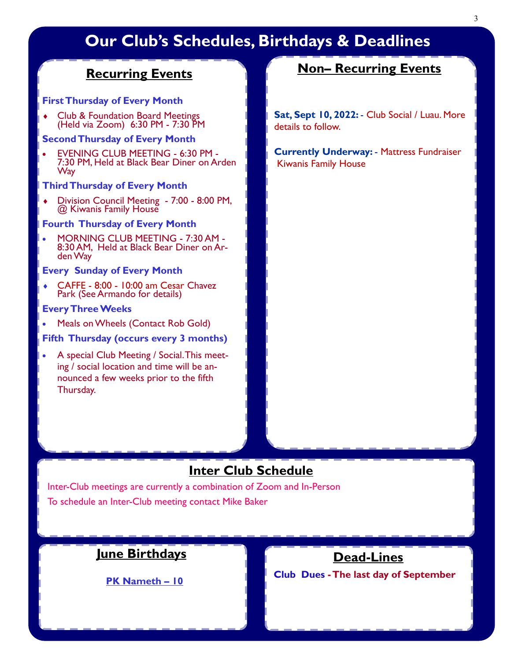# **Our Club's Schedules, Birthdays & Deadlines**

### **Recurring Events**

### **First Thursday of Every Month**

◆ Club & Foundation Board Meetings (Held via Zoom) 6:30 PM - 7:30 PM

### **Second Thursday of Every Month**

 EVENING CLUB MEETING - 6:30 PM - 7:30 PM, Held at Black Bear Diner on Arden **Way** 

#### **Third Thursday of Every Month**

 Division Council Meeting - 7:00 - 8:00 PM, @ Kiwanis Family House

#### **Fourth Thursday of Every Month**

 MORNING CLUB MEETING - 7:30 AM - 8:30 AM, Held at Black Bear Diner on Arden Way

### **Every Sunday of Every Month**

 CAFFE - 8:00 - 10:00 am Cesar Chavez Park (See Armando for details)

### **Every Three Weeks**

Meals on Wheels (Contact Rob Gold)

### **Fifth Thursday (occurs every 3 months)**

 A special Club Meeting / Social. This meeting / social location and time will be announced a few weeks prior to the fifth Thursday.

### **Non– Recurring Events**

**Sat, Sept 10, 2022:** - Club Social / Luau. More details to follow.

**Currently Underway:** - Mattress Fundraiser Kiwanis Family House

### **Inter Club Schedule**

Inter-Club meetings are currently a combination of Zoom and In-Person To schedule an Inter-Club meeting contact Mike Baker

### **June Birthdays**

**PK Nameth – 10** 

### **Dead-Lines**

**Club Dues -The last day of September**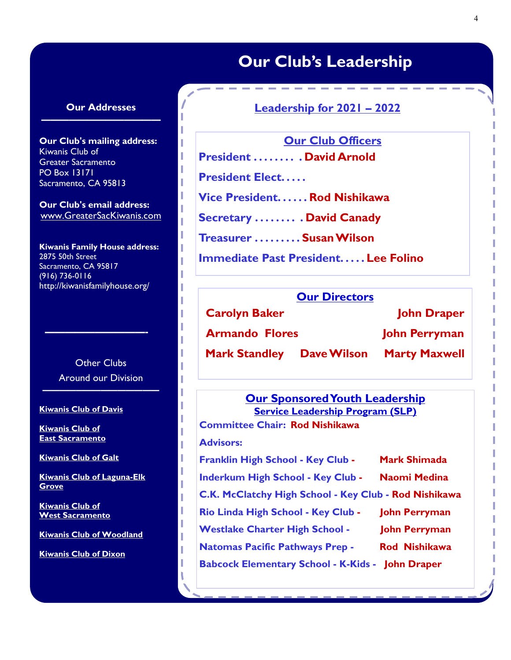## **Our Club's Leadership**

### **Our Addresses —————————————**

**Our Club's mailing address:** Kiwanis Club of Greater Sacramento PO Box 13171 Sacramento, CA 95813

**Our Club's email address:** www.GreaterSacKiwanis.com

**Kiwanis Family House address:** 2875 50th Street Sacramento, CA 95817 (916) 736-0116 http://kiwanisfamilyhouse.org/

> Other Clubs Around our Division

**——————————-**

**——————————————**

#### **Kiwanis Club of Davis**

**Kiwanis Club of East Sacramento**

**Kiwanis Club of Galt**

**Kiwanis Club of Laguna-Elk Grove**

**Kiwanis Club of West Sacramento**

**Kiwanis Club of Woodland**

**Kiwanis Club of Dixon**

### **Leadership for 2021 – 2022**

**Our Club Officers President . . . . . . . . . David Arnold**

**President Elect. . . . .** 

**Vice President. . . . . . Rod Nishikawa** 

**Secretary . . . . . . . . . David Canady**

**Treasurer . . . . . . . . . Susan Wilson**

**Immediate Past President. . . . . Lee Folino**

### **Our Directors**

**Carolyn Baker Garolyn Baker Carolyn Baker Accord Book Armando Flores John Perryman Mark Standley Dave Wilson Marty Maxwell** 

### **Our Sponsored Youth Leadership Service Leadership Program (SLP)**

**Committee Chair: Rod Nishikawa Advisors: Franklin High School - Key Club - Mark Shimada Inderkum High School - Key Club - Naomi Medina C.K. McClatchy High School - Key Club - Rod Nishikawa Rio Linda High School - Key Club - John Perryman Westlake Charter High School - John Perryman Natomas Pacific Pathways Prep - Rod Nishikawa Babcock Elementary School - K-Kids - John Draper**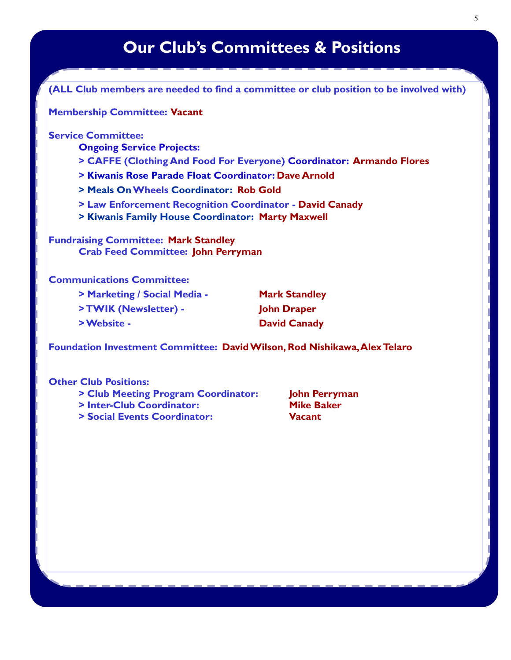# **Our Club's Committees & Positions**

**(ALL Club members are needed to find a committee or club position to be involved with)**

**Membership Committee: Vacant**

**Service Committee:** 

**Ongoing Service Projects:**

**> CAFFE (Clothing And Food For Everyone) Coordinator: Armando Flores** 

**> Kiwanis Rose Parade Float Coordinator: Dave Arnold**

**> Meals OnWheels Coordinator: Rob Gold**

**> Law Enforcement Recognition Coordinator - David Canady**

**> Kiwanis Family House Coordinator: Marty Maxwell**

**Fundraising Committee: Mark Standley Crab Feed Committee: John Perryman**

### **Communications Committee:**

| > Marketing / Social Media - | <b>Mark Standley</b> |
|------------------------------|----------------------|
| >TWIK (Newsletter) -         | <b>John Draper</b>   |
| > Website -                  | <b>David Canady</b>  |

**Foundation Investment Committee: David Wilson, Rod Nishikawa, Alex Telaro**

### **Other Club Positions:**

- **> Club Meeting Program Coordinator: John Perryman**
- **> Inter-Club Coordinator:** Mike Baker
- **> Social Events Coordinator: Vacant**